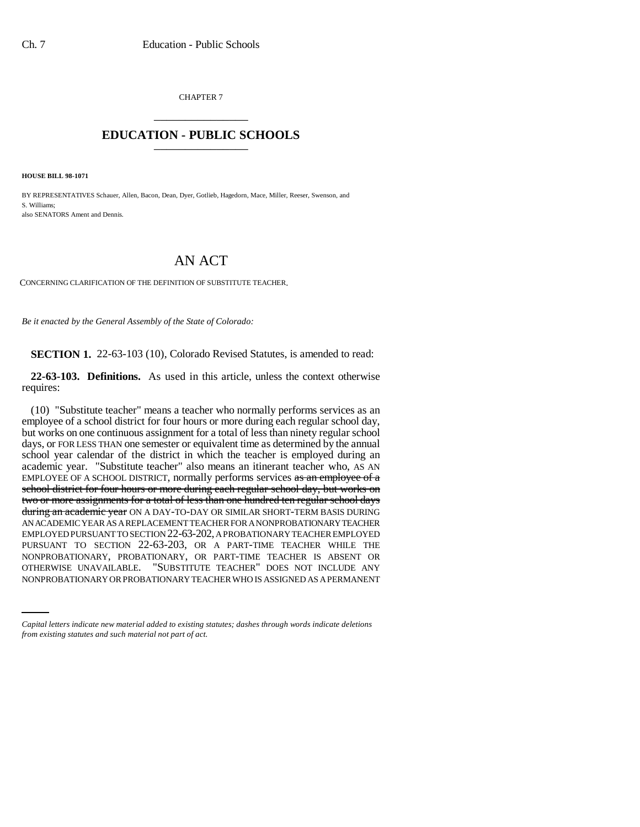CHAPTER 7 \_\_\_\_\_\_\_\_\_\_\_\_\_\_\_

## **EDUCATION - PUBLIC SCHOOLS** \_\_\_\_\_\_\_\_\_\_\_\_\_\_\_

**HOUSE BILL 98-1071**

BY REPRESENTATIVES Schauer, Allen, Bacon, Dean, Dyer, Gotlieb, Hagedorn, Mace, Miller, Reeser, Swenson, and S. Williams; also SENATORS Ament and Dennis.

## AN ACT

CONCERNING CLARIFICATION OF THE DEFINITION OF SUBSTITUTE TEACHER.

*Be it enacted by the General Assembly of the State of Colorado:*

**SECTION 1.** 22-63-103 (10), Colorado Revised Statutes, is amended to read:

**22-63-103. Definitions.** As used in this article, unless the context otherwise requires:

NONPROBATIONARY, PROBATIONARY, OR PART-TIME TEACHER IS ABSENT OR (10) "Substitute teacher" means a teacher who normally performs services as an employee of a school district for four hours or more during each regular school day, but works on one continuous assignment for a total of less than ninety regular school days, or FOR LESS THAN one semester or equivalent time as determined by the annual school year calendar of the district in which the teacher is employed during an academic year. "Substitute teacher" also means an itinerant teacher who, AS AN EMPLOYEE OF A SCHOOL DISTRICT, normally performs services as an employee of a school district for four hours or more during each regular school day, but works on two or more assignments for a total of less than one hundred ten regular school days during an academic year ON A DAY-TO-DAY OR SIMILAR SHORT-TERM BASIS DURING AN ACADEMIC YEAR AS A REPLACEMENT TEACHER FOR A NONPROBATIONARY TEACHER EMPLOYED PURSUANT TO SECTION 22-63-202, A PROBATIONARY TEACHER EMPLOYED PURSUANT TO SECTION 22-63-203, OR A PART-TIME TEACHER WHILE THE OTHERWISE UNAVAILABLE. "SUBSTITUTE TEACHER" DOES NOT INCLUDE ANY NONPROBATIONARY OR PROBATIONARY TEACHER WHO IS ASSIGNED AS A PERMANENT

*Capital letters indicate new material added to existing statutes; dashes through words indicate deletions from existing statutes and such material not part of act.*